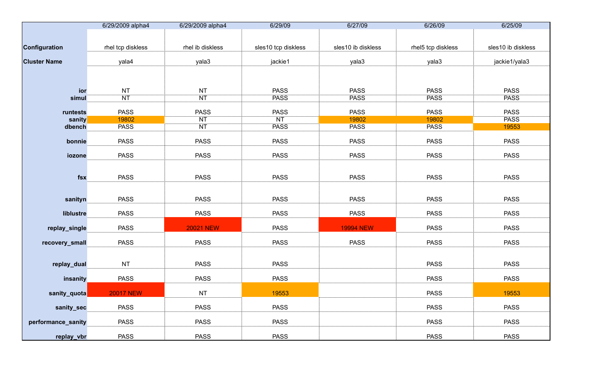|                     | 6/29/2009 alpha4  | 6/29/2009 alpha4 | 6/29/09             | 6/27/09            | 6/26/09            | 6/25/09            |
|---------------------|-------------------|------------------|---------------------|--------------------|--------------------|--------------------|
|                     |                   |                  |                     |                    |                    |                    |
| Configuration       | rhel tcp diskless | rhel ib diskless | sles10 tcp diskless | sles10 ib diskless | rhel5 tcp diskless | sles10 ib diskless |
| <b>Cluster Name</b> | yala4             | yala3            | jackie1             | yala3              | yala3              | jackie1/yala3      |
|                     |                   |                  |                     |                    |                    |                    |
| ior                 | NT                | <b>NT</b>        | <b>PASS</b>         | <b>PASS</b>        | <b>PASS</b>        | <b>PASS</b>        |
| simul               | NT                | <b>NT</b>        | <b>PASS</b>         | <b>PASS</b>        | <b>PASS</b>        | <b>PASS</b>        |
| runtests            | <b>PASS</b>       | <b>PASS</b>      | <b>PASS</b>         | <b>PASS</b>        | <b>PASS</b>        | <b>PASS</b>        |
| sanity              | 19802             | <b>NT</b>        | <b>NT</b>           | 19802              | 19802              | <b>PASS</b>        |
| dbench              | <b>PASS</b>       | <b>NT</b>        | <b>PASS</b>         | <b>PASS</b>        | <b>PASS</b>        | 19553              |
| bonnie              | <b>PASS</b>       | <b>PASS</b>      | <b>PASS</b>         | <b>PASS</b>        | <b>PASS</b>        | <b>PASS</b>        |
| iozone              | <b>PASS</b>       | <b>PASS</b>      | <b>PASS</b>         | <b>PASS</b>        | <b>PASS</b>        | <b>PASS</b>        |
| fsx                 | <b>PASS</b>       | <b>PASS</b>      | <b>PASS</b>         | <b>PASS</b>        | <b>PASS</b>        | <b>PASS</b>        |
| sanityn             | <b>PASS</b>       | <b>PASS</b>      | <b>PASS</b>         | <b>PASS</b>        | <b>PASS</b>        | <b>PASS</b>        |
| liblustre           | <b>PASS</b>       | <b>PASS</b>      | <b>PASS</b>         | <b>PASS</b>        | <b>PASS</b>        | <b>PASS</b>        |
| replay_single       | <b>PASS</b>       | <b>20021 NEW</b> | <b>PASS</b>         | <b>19994 NEW</b>   | <b>PASS</b>        | <b>PASS</b>        |
| recovery_small      | <b>PASS</b>       | <b>PASS</b>      | <b>PASS</b>         | <b>PASS</b>        | <b>PASS</b>        | <b>PASS</b>        |
| replay_dual         | NT                | <b>PASS</b>      | <b>PASS</b>         |                    | <b>PASS</b>        | <b>PASS</b>        |
| insanity            | <b>PASS</b>       | <b>PASS</b>      | <b>PASS</b>         |                    | <b>PASS</b>        | <b>PASS</b>        |
| sanity_quota        | <b>20017 NEW</b>  | NT               | 19553               |                    | <b>PASS</b>        | 19553              |
| sanity_sec          | <b>PASS</b>       | <b>PASS</b>      | <b>PASS</b>         |                    | <b>PASS</b>        | <b>PASS</b>        |
| performance_sanity  | <b>PASS</b>       | <b>PASS</b>      | <b>PASS</b>         |                    | <b>PASS</b>        | <b>PASS</b>        |
| replay_vbr          | <b>PASS</b>       | <b>PASS</b>      | <b>PASS</b>         |                    | <b>PASS</b>        | <b>PASS</b>        |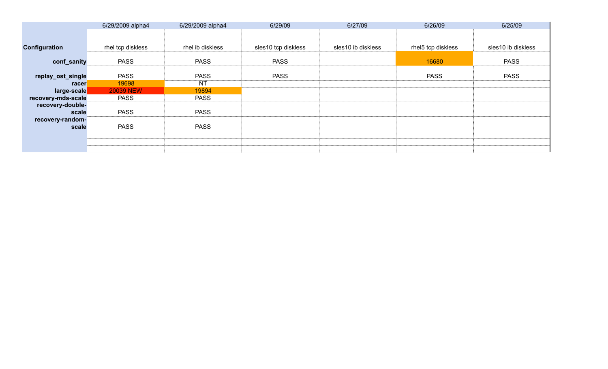|                           | 6/29/2009 alpha4  | 6/29/2009 alpha4 | 6/29/09             | 6/27/09            | 6/26/09            | 6/25/09            |
|---------------------------|-------------------|------------------|---------------------|--------------------|--------------------|--------------------|
|                           |                   |                  |                     |                    |                    |                    |
| <b>Configuration</b>      | rhel tcp diskless | rhel ib diskless | sles10 tcp diskless | sles10 ib diskless | rhel5 tcp diskless | sles10 ib diskless |
| conf_sanity               | <b>PASS</b>       | <b>PASS</b>      | <b>PASS</b>         |                    | 16680              | <b>PASS</b>        |
| replay_ost_single         | <b>PASS</b>       | <b>PASS</b>      | <b>PASS</b>         |                    | <b>PASS</b>        | <b>PASS</b>        |
| racer                     | 19698             | <b>NT</b>        |                     |                    |                    |                    |
| large-scale               | <b>20039 NEW</b>  | 19894            |                     |                    |                    |                    |
| recovery-mds-scale        | <b>PASS</b>       | <b>PASS</b>      |                     |                    |                    |                    |
| recovery-double-<br>scale | <b>PASS</b>       | <b>PASS</b>      |                     |                    |                    |                    |
| recovery-random-<br>scale | <b>PASS</b>       | <b>PASS</b>      |                     |                    |                    |                    |
|                           |                   |                  |                     |                    |                    |                    |
|                           |                   |                  |                     |                    |                    |                    |
|                           |                   |                  |                     |                    |                    |                    |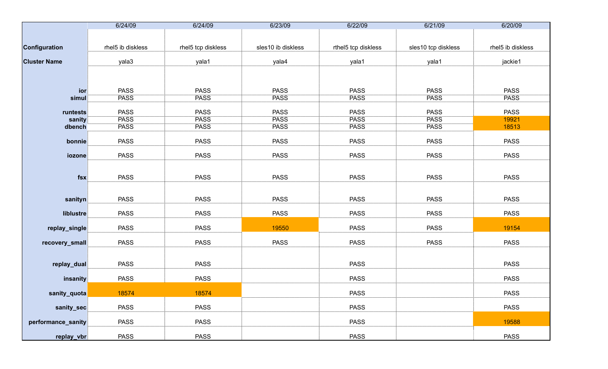|                     | 6/24/09           | 6/24/09            | 6/23/09            | 6/22/09             | 6/21/09             | 6/20/09           |
|---------------------|-------------------|--------------------|--------------------|---------------------|---------------------|-------------------|
|                     |                   |                    |                    |                     |                     |                   |
|                     |                   |                    |                    |                     |                     |                   |
| Configuration       | rhel5 ib diskless | rhel5 tcp diskless | sles10 ib diskless | rthel5 tcp diskless | sles10 tcp diskless | rhel5 ib diskless |
|                     |                   |                    |                    |                     |                     |                   |
| <b>Cluster Name</b> | yala3             | yala1              | yala4              | yala1               | yala1               | jackie1           |
|                     |                   |                    |                    |                     |                     |                   |
|                     |                   |                    |                    |                     |                     |                   |
| ior                 | <b>PASS</b>       | <b>PASS</b>        | <b>PASS</b>        | <b>PASS</b>         | <b>PASS</b>         | <b>PASS</b>       |
| simul               | <b>PASS</b>       | <b>PASS</b>        | <b>PASS</b>        | <b>PASS</b>         | <b>PASS</b>         | <b>PASS</b>       |
|                     |                   |                    |                    |                     |                     |                   |
| runtests            | <b>PASS</b>       | <b>PASS</b>        | <b>PASS</b>        | <b>PASS</b>         | <b>PASS</b>         | <b>PASS</b>       |
| sanity              | <b>PASS</b>       | <b>PASS</b>        | <b>PASS</b>        | <b>PASS</b>         | <b>PASS</b>         | 19921             |
| dbench              | <b>PASS</b>       | <b>PASS</b>        | <b>PASS</b>        | <b>PASS</b>         | <b>PASS</b>         | 18513             |
|                     |                   |                    |                    |                     |                     |                   |
| bonnie              | <b>PASS</b>       | <b>PASS</b>        | <b>PASS</b>        | <b>PASS</b>         | <b>PASS</b>         | <b>PASS</b>       |
|                     |                   |                    |                    |                     |                     |                   |
| iozone              | <b>PASS</b>       | <b>PASS</b>        | <b>PASS</b>        | <b>PASS</b>         | <b>PASS</b>         | <b>PASS</b>       |
|                     |                   |                    |                    |                     |                     |                   |
| fsx                 | <b>PASS</b>       | <b>PASS</b>        | <b>PASS</b>        | <b>PASS</b>         | <b>PASS</b>         | <b>PASS</b>       |
|                     |                   |                    |                    |                     |                     |                   |
|                     |                   |                    |                    |                     |                     |                   |
| sanityn             | <b>PASS</b>       | <b>PASS</b>        | <b>PASS</b>        | <b>PASS</b>         | <b>PASS</b>         | <b>PASS</b>       |
|                     |                   |                    |                    |                     |                     |                   |
| liblustre           | <b>PASS</b>       | <b>PASS</b>        | <b>PASS</b>        | <b>PASS</b>         | <b>PASS</b>         | <b>PASS</b>       |
|                     |                   |                    |                    |                     |                     |                   |
| replay_single       | <b>PASS</b>       | <b>PASS</b>        | 19550              | <b>PASS</b>         | <b>PASS</b>         | 19154             |
|                     |                   |                    |                    |                     |                     |                   |
| recovery_small      | <b>PASS</b>       | <b>PASS</b>        | <b>PASS</b>        | <b>PASS</b>         | <b>PASS</b>         | <b>PASS</b>       |
|                     |                   |                    |                    |                     |                     |                   |
| replay_dual         | <b>PASS</b>       | <b>PASS</b>        |                    | <b>PASS</b>         |                     | <b>PASS</b>       |
|                     |                   |                    |                    |                     |                     |                   |
| insanity            | <b>PASS</b>       | <b>PASS</b>        |                    | <b>PASS</b>         |                     | <b>PASS</b>       |
|                     |                   |                    |                    |                     |                     |                   |
| sanity_quota        | 18574             | 18574              |                    | <b>PASS</b>         |                     | <b>PASS</b>       |
|                     |                   |                    |                    |                     |                     |                   |
| sanity_sec          | <b>PASS</b>       | <b>PASS</b>        |                    | <b>PASS</b>         |                     | <b>PASS</b>       |
|                     |                   |                    |                    |                     |                     |                   |
| performance_sanity  | <b>PASS</b>       | <b>PASS</b>        |                    | <b>PASS</b>         |                     | 19588             |
|                     |                   |                    |                    |                     |                     |                   |
| replay_vbr          | <b>PASS</b>       | <b>PASS</b>        |                    | <b>PASS</b>         |                     | <b>PASS</b>       |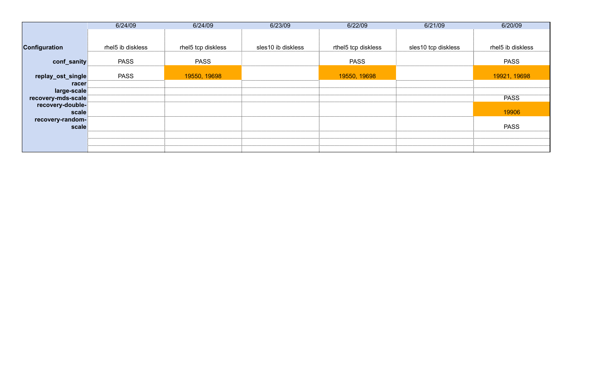|                      | 6/24/09           | 6/24/09            | 6/23/09            | 6/22/09             | 6/21/09             | 6/20/09           |
|----------------------|-------------------|--------------------|--------------------|---------------------|---------------------|-------------------|
|                      |                   |                    |                    |                     |                     |                   |
| <b>Configuration</b> | rhel5 ib diskless | rhel5 tcp diskless | sles10 ib diskless | rthel5 tcp diskless | sles10 tcp diskless | rhel5 ib diskless |
| conf_sanity          | <b>PASS</b>       | <b>PASS</b>        |                    | <b>PASS</b>         |                     | <b>PASS</b>       |
| replay_ost_single    | <b>PASS</b>       | 19550, 19698       |                    | 19550, 19698        |                     | 19921, 19698      |
| racer                |                   |                    |                    |                     |                     |                   |
| large-scale          |                   |                    |                    |                     |                     |                   |
| recovery-mds-scale   |                   |                    |                    |                     |                     | <b>PASS</b>       |
| recovery-double-     |                   |                    |                    |                     |                     |                   |
| scale                |                   |                    |                    |                     |                     | 19906             |
| recovery-random-     |                   |                    |                    |                     |                     |                   |
| scale                |                   |                    |                    |                     |                     | <b>PASS</b>       |
|                      |                   |                    |                    |                     |                     |                   |
|                      |                   |                    |                    |                     |                     |                   |
|                      |                   |                    |                    |                     |                     |                   |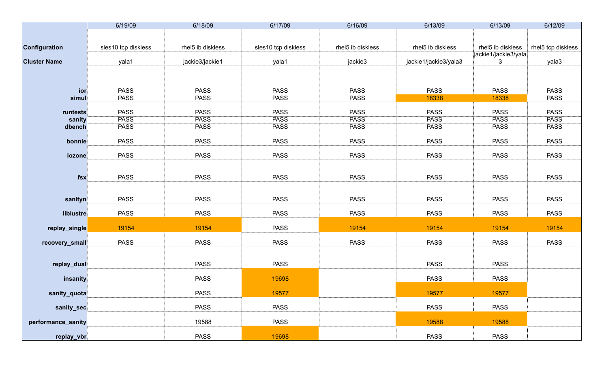|                     | 6/19/09             | 6/18/09           | 6/17/09             | 6/16/09           | 6/13/09               | 6/13/09              | 6/12/09            |
|---------------------|---------------------|-------------------|---------------------|-------------------|-----------------------|----------------------|--------------------|
|                     |                     |                   |                     |                   |                       |                      |                    |
|                     | sles10 tcp diskless | rhel5 ib diskless |                     | rhel5 ib diskless | rhel5 ib diskless     | rhel5 ib diskless    | rhel5 tcp diskless |
| Configuration       |                     |                   | sles10 tcp diskless |                   |                       | jackie1/jackie3/yala |                    |
| <b>Cluster Name</b> | yala1               | jackie3/jackie1   | yala1               | jackie3           | jackie1/jackie3/yala3 | 3                    | yala3              |
|                     |                     |                   |                     |                   |                       |                      |                    |
| ior                 | <b>PASS</b>         | <b>PASS</b>       | <b>PASS</b>         | <b>PASS</b>       | <b>PASS</b>           | <b>PASS</b>          | <b>PASS</b>        |
| simul               | <b>PASS</b>         | <b>PASS</b>       | <b>PASS</b>         | <b>PASS</b>       | 18338                 | 18338                | <b>PASS</b>        |
|                     |                     |                   |                     |                   |                       |                      |                    |
| runtests            | <b>PASS</b>         | <b>PASS</b>       | <b>PASS</b>         | <b>PASS</b>       | <b>PASS</b>           | <b>PASS</b>          | <b>PASS</b>        |
| sanity              | <b>PASS</b>         | <b>PASS</b>       | <b>PASS</b>         | <b>PASS</b>       | <b>PASS</b>           | <b>PASS</b>          | <b>PASS</b>        |
| dbench              | <b>PASS</b>         | <b>PASS</b>       | <b>PASS</b>         | <b>PASS</b>       | <b>PASS</b>           | <b>PASS</b>          | <b>PASS</b>        |
| bonnie              | <b>PASS</b>         | <b>PASS</b>       | <b>PASS</b>         | <b>PASS</b>       | <b>PASS</b>           | <b>PASS</b>          | <b>PASS</b>        |
| iozone              | <b>PASS</b>         | <b>PASS</b>       | <b>PASS</b>         | <b>PASS</b>       | <b>PASS</b>           | <b>PASS</b>          | <b>PASS</b>        |
| $f$ sx              | <b>PASS</b>         | <b>PASS</b>       | <b>PASS</b>         | <b>PASS</b>       | <b>PASS</b>           | <b>PASS</b>          | <b>PASS</b>        |
| sanityn             | <b>PASS</b>         | <b>PASS</b>       | <b>PASS</b>         | <b>PASS</b>       | <b>PASS</b>           | <b>PASS</b>          | <b>PASS</b>        |
| liblustre           | <b>PASS</b>         | <b>PASS</b>       | <b>PASS</b>         | <b>PASS</b>       | <b>PASS</b>           | <b>PASS</b>          | <b>PASS</b>        |
| replay_single       | 19154               | 19154             | <b>PASS</b>         | 19154             | 19154                 | 19154                | 19154              |
| recovery_small      | <b>PASS</b>         | <b>PASS</b>       | <b>PASS</b>         | <b>PASS</b>       | <b>PASS</b>           | <b>PASS</b>          | <b>PASS</b>        |
| replay_dual         |                     | <b>PASS</b>       | <b>PASS</b>         |                   | <b>PASS</b>           | <b>PASS</b>          |                    |
| insanity            |                     | <b>PASS</b>       | 19698               |                   | <b>PASS</b>           | <b>PASS</b>          |                    |
| sanity_quota        |                     | <b>PASS</b>       | 19577               |                   | 19577                 | 19577                |                    |
| sanity_sec          |                     | <b>PASS</b>       | <b>PASS</b>         |                   | <b>PASS</b>           | <b>PASS</b>          |                    |
| performance_sanity  |                     | 19588             | <b>PASS</b>         |                   | 19588                 | 19588                |                    |
| replay_vbr          |                     | <b>PASS</b>       | 19698               |                   | <b>PASS</b>           | <b>PASS</b>          |                    |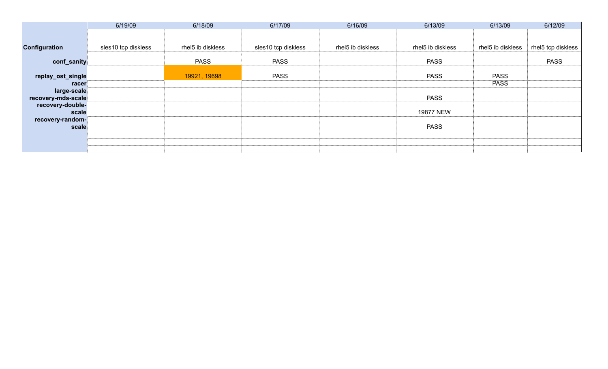|                           | 6/19/09             | 6/18/09           | 6/17/09             | 6/16/09           | 6/13/09           | 6/13/09           | 6/12/09            |
|---------------------------|---------------------|-------------------|---------------------|-------------------|-------------------|-------------------|--------------------|
|                           |                     |                   |                     |                   |                   |                   |                    |
| <b>Configuration</b>      | sles10 tcp diskless | rhel5 ib diskless | sles10 tcp diskless | rhel5 ib diskless | rhel5 ib diskless | rhel5 ib diskless | rhel5 tcp diskless |
| conf_sanity               |                     | <b>PASS</b>       | <b>PASS</b>         |                   | <b>PASS</b>       |                   | <b>PASS</b>        |
| replay_ost_single         |                     | 19921, 19698      | <b>PASS</b>         |                   | <b>PASS</b>       | <b>PASS</b>       |                    |
| racer                     |                     |                   |                     |                   |                   | <b>PASS</b>       |                    |
| large-scale               |                     |                   |                     |                   |                   |                   |                    |
| recovery-mds-scale        |                     |                   |                     |                   | <b>PASS</b>       |                   |                    |
| recovery-double-<br>scale |                     |                   |                     |                   | 19877 NEW         |                   |                    |
| recovery-random-          |                     |                   |                     |                   |                   |                   |                    |
| scale                     |                     |                   |                     |                   | <b>PASS</b>       |                   |                    |
|                           |                     |                   |                     |                   |                   |                   |                    |
|                           |                     |                   |                     |                   |                   |                   |                    |
|                           |                     |                   |                     |                   |                   |                   |                    |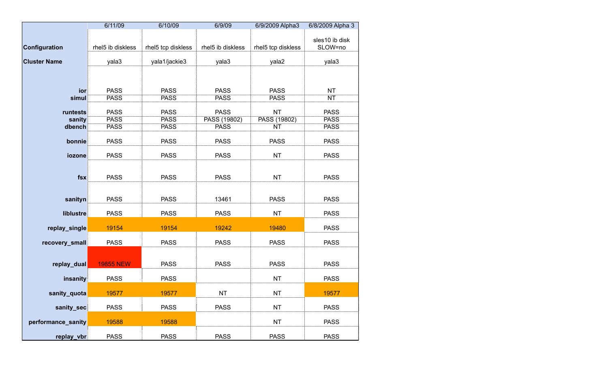|                     | 6/11/09           | 6/10/09            | 6/9/09            | 6/9/2009 Alpha3    | 6/8/2009 Alpha 3          |
|---------------------|-------------------|--------------------|-------------------|--------------------|---------------------------|
| Configuration       | rhel5 ib diskless | rhel5 tcp diskless | rhel5 ib diskless | rhel5 tcp diskless | sles10 ib disk<br>SLOW=no |
| <b>Cluster Name</b> | yala3             | yala1/jackie3      | yala3             | yala2              | yala3                     |
|                     |                   |                    |                   |                    |                           |
| ior                 | <b>PASS</b>       | <b>PASS</b>        | <b>PASS</b>       | <b>PASS</b>        | <b>NT</b>                 |
| simul               | <b>PASS</b>       | <b>PASS</b>        | <b>PASS</b>       | <b>PASS</b>        | <b>NT</b>                 |
|                     |                   |                    |                   |                    |                           |
| runtests            | <b>PASS</b>       | <b>PASS</b>        | <b>PASS</b>       | <b>NT</b>          | <b>PASS</b>               |
| sanity              | <b>PASS</b>       | <b>PASS</b>        | PASS (19802)      | PASS (19802)       | <b>PASS</b>               |
| dbench              | <b>PASS</b>       | <b>PASS</b>        | <b>PASS</b>       | <b>NT</b>          | <b>PASS</b>               |
| bonnie              | <b>PASS</b>       | <b>PASS</b>        | <b>PASS</b>       | <b>PASS</b>        | <b>PASS</b>               |
| iozone              | <b>PASS</b>       | <b>PASS</b>        | <b>PASS</b>       | <b>NT</b>          | <b>PASS</b>               |
| $f$ sx              | <b>PASS</b>       | <b>PASS</b>        | <b>PASS</b>       | <b>NT</b>          | <b>PASS</b>               |
| sanityn             | <b>PASS</b>       | <b>PASS</b>        | 13461             | <b>PASS</b>        | <b>PASS</b>               |
| liblustre           | <b>PASS</b>       | <b>PASS</b>        | <b>PASS</b>       | <b>NT</b>          | <b>PASS</b>               |
| replay_single       | 19154             | 19154              | 19242             | 19480              | <b>PASS</b>               |
| recovery_small      | <b>PASS</b>       | <b>PASS</b>        | <b>PASS</b>       | <b>PASS</b>        | <b>PASS</b>               |
| replay_dual         | <b>19855 NEW</b>  | <b>PASS</b>        | <b>PASS</b>       | <b>PASS</b>        | <b>PASS</b>               |
| insanity            | <b>PASS</b>       | <b>PASS</b>        |                   | <b>NT</b>          | <b>PASS</b>               |
| sanity_quota        | 19577             | 19577              | NT                | ΝT                 | 19577                     |
| sanity_sec          | <b>PASS</b>       | <b>PASS</b>        | <b>PASS</b>       | <b>NT</b>          | <b>PASS</b>               |
| performance_sanity  | 19588             | 19588              |                   | <b>NT</b>          | <b>PASS</b>               |
| replay_vbr          | <b>PASS</b>       | <b>PASS</b>        | <b>PASS</b>       | <b>PASS</b>        | <b>PASS</b>               |